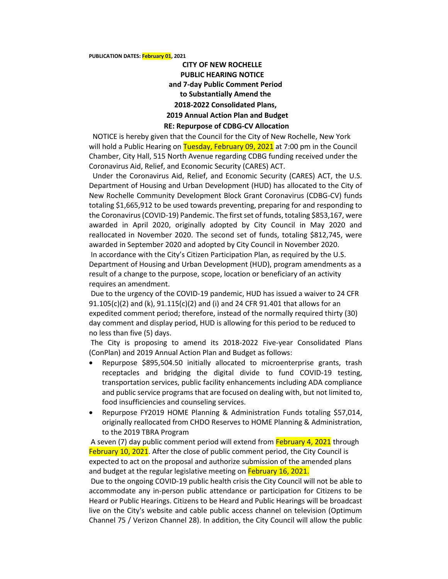## **PUBLICATION DATES: February 01, 2021**

## **CITY OF NEW ROCHELLE PUBLIC HEARING NOTICE and 7-day Public Comment Period to Substantially Amend the 2018-2022 Consolidated Plans, 2019 Annual Action Plan and Budget RE: Repurpose of CDBG-CV Allocation**

## NOTICE is hereby given that the Council for the City of New Rochelle, New York will hold a Public Hearing on Tuesday, February 09, 2021 at 7:00 pm in the Council Chamber, City Hall, 515 North Avenue regarding CDBG funding received under the Coronavirus Aid, Relief, and Economic Security (CARES) ACT.

 Under the Coronavirus Aid, Relief, and Economic Security (CARES) ACT, the U.S. Department of Housing and Urban Development (HUD) has allocated to the City of New Rochelle Community Development Block Grant Coronavirus (CDBG-CV) funds totaling \$1,665,912 to be used towards preventing, preparing for and responding to the Coronavirus (COVID-19) Pandemic. The first set of funds, totaling \$853,167, were awarded in April 2020, originally adopted by City Council in May 2020 and reallocated in November 2020. The second set of funds, totaling \$812,745, were awarded in September 2020 and adopted by City Council in November 2020. In accordance with the City's Citizen Participation Plan, as required by the U.S. Department of Housing and Urban Development (HUD), program amendments as a result of a change to the purpose, scope, location or beneficiary of an activity requires an amendment.

Due to the urgency of the COVID-19 pandemic, HUD has issued a waiver to 24 CFR 91.105(c)(2) and (k), 91.115(c)(2) and (i) and 24 CFR 91.401 that allows for an expedited comment period; therefore, instead of the normally required thirty (30) day comment and display period, HUD is allowing for this period to be reduced to no less than five (5) days.

The City is proposing to amend its 2018-2022 Five-year Consolidated Plans (ConPlan) and 2019 Annual Action Plan and Budget as follows:

- Repurpose \$895,504.50 initially allocated to microenterprise grants, trash receptacles and bridging the digital divide to fund COVID-19 testing, transportation services, public facility enhancements including ADA compliance and public service programs that are focused on dealing with, but not limited to, food insufficiencies and counseling services.
- Repurpose FY2019 HOME Planning & Administration Funds totaling \$57,014, originally reallocated from CHDO Reserves to HOME Planning & Administration, to the 2019 TBRA Program

A seven (7) day public comment period will extend from February 4, 2021 through February 10, 2021. After the close of public comment period, the City Council is expected to act on the proposal and authorize submission of the amended plans and budget at the regular legislative meeting on February 16, 2021.

Due to the ongoing COVID-19 public health crisis the City Council will not be able to accommodate any in-person public attendance or participation for Citizens to be Heard or Public Hearings. Citizens to be Heard and Public Hearings will be broadcast live on the City's website and cable public access channel on television (Optimum Channel 75 / Verizon Channel 28). In addition, the City Council will allow the public